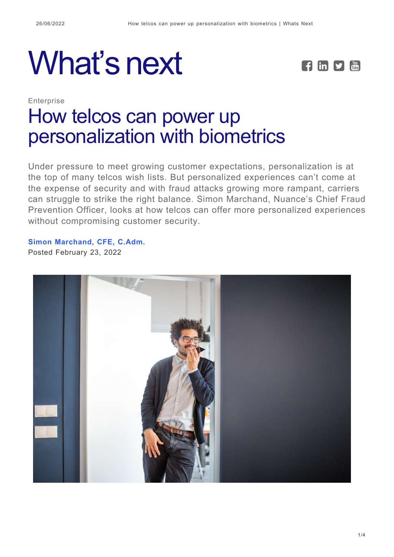# What's next **FERE**



# **Enterprise** [How telcos can power up](https://whatsnext.nuance.com/enterprise/biometric-authentication-elevates-cx-personalization/) [personalization with biometrics](https://whatsnext.nuance.com/enterprise/biometric-authentication-elevates-cx-personalization/)

Under pressure to meet growing customer expectations, personalization is at the top of many telcos wish lists. But personalized experiences can't come at the expense of security and with fraud attacks growing more rampant, carriers can struggle to strike the right balance. Simon Marchand, Nuance's Chief Fraud Prevention Officer, looks at how telcos can offer more personalized experiences without compromising customer security.

**[Simon Marchand, CFE, C.Adm.](https://whatsnext.nuance.com/author/simonmarchand/)** Posted February 23, 2022

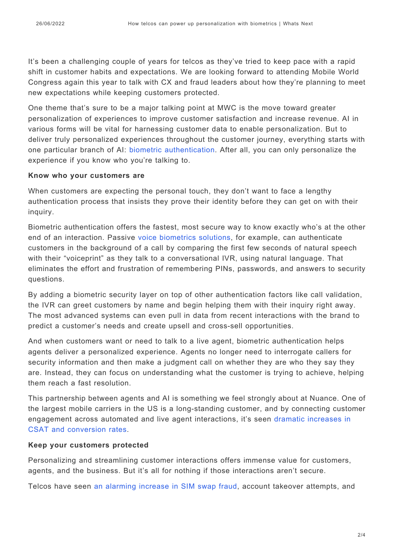It's been a challenging couple of years for telcos as they've tried to keep pace with a rapid shift in customer habits and expectations. We are looking forward to attending Mobile World Congress again this year to talk with CX and fraud leaders about how they're planning to meet new expectations while keeping customers protected.

One theme that's sure to be a major talking point at MWC is the move toward greater personalization of experiences to improve customer satisfaction and increase revenue. AI in various forms will be vital for harnessing customer data to enable personalization. But to deliver truly personalized experiences throughout the customer journey, everything starts with one particular branch of AI: [biometric authentication.](https://www.nuance.com/omni-channel-customer-engagement/authentication-and-fraud-prevention/biometric-authentication.html) After all, you can only personalize the experience if you know who you're talking to.

#### **Know who your customers are**

When customers are expecting the personal touch, they don't want to face a lengthy authentication process that insists they prove their identity before they can get on with their inquiry.

Biometric authentication offers the fastest, most secure way to know exactly who's at the other end of an interaction. Passive [voice biometrics solutions,](https://www.nuance.com/omni-channel-customer-engagement/authentication-and-fraud-prevention/biometric-authentication.html) for example, can authenticate customers in the background of a call by comparing the first few seconds of natural speech with their "voiceprint" as they talk to a conversational IVR, using natural language. That eliminates the effort and frustration of remembering PINs, passwords, and answers to security questions.

By adding a biometric security layer on top of other authentication factors like call validation, the IVR can greet customers by name and begin helping them with their inquiry right away. The most advanced systems can even pull in data from recent interactions with the brand to predict a customer's needs and create upsell and cross-sell opportunities.

And when customers want or need to talk to a live agent, biometric authentication helps agents deliver a personalized experience. Agents no longer need to interrogate callers for security information and then make a judgment call on whether they are who they say they are. Instead, they can focus on understanding what the customer is trying to achieve, helping them reach a fast resolution.

This partnership between agents and AI is something we feel strongly about at Nuance. One of the largest mobile carriers in the US is a long-standing customer, and by connecting customer engagement across automated and live agent interactions, it's seen [dramatic increases in](https://www.nuance.com/omni-channel-customer-engagement/case-studies/major-us-telco-live-chat.html) [CSAT and conversion rates.](https://www.nuance.com/omni-channel-customer-engagement/case-studies/major-us-telco-live-chat.html)

#### **Keep your customers protected**

Personalizing and streamlining customer interactions offers immense value for customers, agents, and the business. But it's all for nothing if those interactions aren't secure.

Telcos have seen [an alarming increase in SIM swap fraud,](https://whatsnext.nuance.com/enterprise/telcos-and-sim-swap-fraud-protecting-consumers-and-mitigating-risk-exposure/) account takeover attempts, and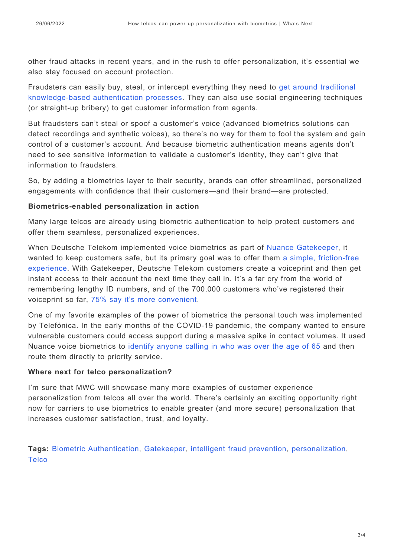other fraud attacks in recent years, and in the rush to offer personalization, it's essential we also stay focused on account protection.

Fraudsters can easily buy, steal, or intercept everything they need to [get around traditional](https://whatsnext.nuance.com/enterprise/time-to-reset-customer-authentication-with-biometrics/) [knowledge-based authentication processes.](https://whatsnext.nuance.com/enterprise/time-to-reset-customer-authentication-with-biometrics/) They can also use social engineering techniques (or straight-up bribery) to get customer information from agents.

But fraudsters can't steal or spoof a customer's voice (advanced biometrics solutions can detect recordings and synthetic voices), so there's no way for them to fool the system and gain control of a customer's account. And because biometric authentication means agents don't need to see sensitive information to validate a customer's identity, they can't give that information to fraudsters.

So, by adding a biometrics layer to their security, brands can offer streamlined, personalized engagements with confidence that their customers—and their brand—are protected.

#### **Biometrics-enabled personalization in action**

Many large telcos are already using biometric authentication to help protect customers and offer them seamless, personalized experiences.

When Deutsche Telekom implemented voice biometrics as part of [Nuance Gatekeeper](https://www.nuance.com/omni-channel-customer-engagement/authentication-and-fraud-prevention/gatekeeper.html), it wanted to keep customers safe, but its primary goal was to offer them [a simple, friction-free](https://www.nuance.com/omni-channel-customer-engagement/case-studies/deutsche-telekom-creates-secure-experiences-with-nuance.html) [experience.](https://www.nuance.com/omni-channel-customer-engagement/case-studies/deutsche-telekom-creates-secure-experiences-with-nuance.html) With Gatekeeper, Deutsche Telekom customers create a voiceprint and then get instant access to their account the next time they call in. It's a far cry from the world of remembering lengthy ID numbers, and of the 700,000 customers who've registered their voiceprint so far, [75% say it's more convenient.](https://www.nuance.com/omni-channel-customer-engagement/case-studies/deutsche-telekom-creates-secure-experiences-with-nuance.html)

One of my favorite examples of the power of biometrics the personal touch was implemented by Telefónica. In the early months of the COVID-19 pandemic, the company wanted to ensure vulnerable customers could access support during a massive spike in contact volumes. It used Nuance voice biometrics to [identify anyone calling in who was over the age of 65](https://whatsnext.nuance.com/enterprise/prioritize-seniors-voice-biometrics-customer-service/) and then route them directly to priority service.

#### **Where next for telco personalization?**

I'm sure that MWC will showcase many more examples of customer experience personalization from telcos all over the world. There's certainly an exciting opportunity right now for carriers to use biometrics to enable greater (and more secure) personalization that increases customer satisfaction, trust, and loyalty.

**Tags:** [Biometric Authentication](https://whatsnext.nuance.com/tag/authentication-biometrics/), [Gatekeeper,](https://whatsnext.nuance.com/tag/gatekeeper-2/) [intelligent fraud prevention](https://whatsnext.nuance.com/tag/intelligent-fraud-prevention/), [personalization,](https://whatsnext.nuance.com/tag/personalization/) **[Telco](https://whatsnext.nuance.com/tag/telco-2/)**